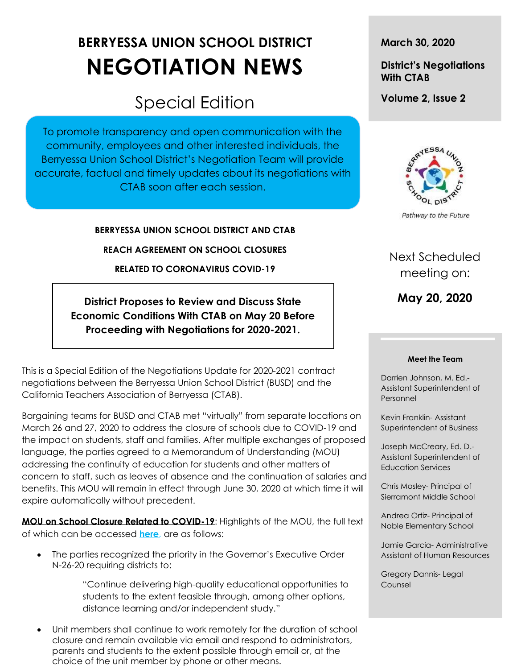# **BERRYESSA UNION SCHOOL DISTRICT NEGOTIATION NEWS**

## Special Edition

To promote transparency and open communication with the community, employees and other interested individuals, the Berryessa Union School District's Negotiation Team will provide accurate, factual and timely updates about its negotiations with CTAB soon after each session.

**BERRYESSA UNION SCHOOL DISTRICT AND CTAB**

**REACH AGREEMENT ON SCHOOL CLOSURES** 

**RELATED TO CORONAVIRUS COVID-19** 

**District Proposes to Review and Discuss State Economic Conditions With CTAB on May 20 Before Proceeding with Negotiations for 2020-2021.** 

This is a Special Edition of the Negotiations Update for 2020-2021 contract negotiations between the Berryessa Union School District (BUSD) and the California Teachers Association of Berryessa (CTAB).

Bargaining teams for BUSD and CTAB met "virtually" from separate locations on March 26 and 27, 2020 to address the closure of schools due to COVID-19 and the impact on students, staff and families. After multiple exchanges of proposed language, the parties agreed to a Memorandum of Understanding (MOU) addressing the continuity of education for students and other matters of concern to staff, such as leaves of absence and the continuation of salaries and benefits. This MOU will remain in effect through June 30, 2020 at which time it will expire automatically without precedent.

**MOU on School Closure Related to COVID-19**: Highlights of the MOU, the full text of which can be accessed **[here](https://www.berryessa.k12.ca.us/documents/Negotiation%20News%202020/CTAB-BUSD%20Management%20MOU%20COVID-19%2003-27-20.pdf)**, are as follows:

• The parties recognized the priority in the Governor's Executive Order N-26-20 requiring districts to:

> "Continue delivering high-quality educational opportunities to students to the extent feasible through, among other options, distance learning and/or independent study."

• Unit members shall continue to work remotely for the duration of school closure and remain available via email and respond to administrators, parents and students to the extent possible through email or, at the choice of the unit member by phone or other means.

**March 30, 2020**

### **District's Negotiations With CTAB**

**Volume 2, Issue 2**



Pathway to the Future

### Next Scheduled meeting on:

**May 20, 2020**

#### **Meet the Team**

Darrien Johnson, M. Ed.- Assistant Superintendent of Personnel

Kevin Franklin- Assistant Superintendent of Business

Joseph McCreary, Ed. D.- Assistant Superintendent of Education Services

Chris Mosley- Principal of Sierramont Middle School

Andrea Ortiz- Principal of Noble Elementary School

Jamie Garcia- Administrative Assistant of Human Resources

Gregory Dannis- Legal Counsel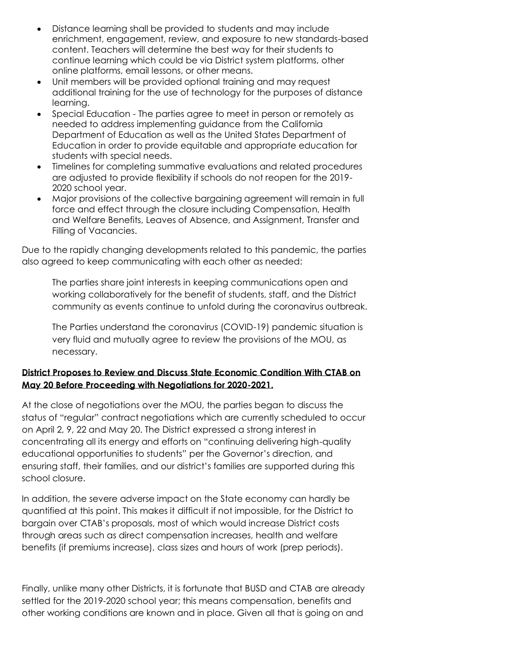- Distance learning shall be provided to students and may include enrichment, engagement, review, and exposure to new standards-based content. Teachers will determine the best way for their students to continue learning which could be via District system platforms, other online platforms, email lessons, or other means.
- Unit members will be provided optional training and may request additional training for the use of technology for the purposes of distance learning.
- Special Education The parties agree to meet in person or remotely as needed to address implementing guidance from the California Department of Education as well as the United States Department of Education in order to provide equitable and appropriate education for students with special needs.
- Timelines for completing summative evaluations and related procedures are adjusted to provide flexibility if schools do not reopen for the 2019- 2020 school year.
- Major provisions of the collective bargaining agreement will remain in full force and effect through the closure including Compensation, Health and Welfare Benefits, Leaves of Absence, and Assignment, Transfer and Filling of Vacancies.

Due to the rapidly changing developments related to this pandemic, the parties also agreed to keep communicating with each other as needed:

The parties share joint interests in keeping communications open and working collaboratively for the benefit of students, staff, and the District community as events continue to unfold during the coronavirus outbreak.

The Parties understand the coronavirus (COVID-19) pandemic situation is very fluid and mutually agree to review the provisions of the MOU, as necessary.

### **District Proposes to Review and Discuss State Economic Condition With CTAB on May 20 Before Proceeding with Negotiations for 2020-2021.**

At the close of negotiations over the MOU, the parties began to discuss the status of "regular" contract negotiations which are currently scheduled to occur on April 2, 9, 22 and May 20. The District expressed a strong interest in concentrating all its energy and efforts on "continuing delivering high-quality educational opportunities to students" per the Governor's direction, and ensuring staff, their families, and our district's families are supported during this school closure.

In addition, the severe adverse impact on the State economy can hardly be quantified at this point. This makes it difficult if not impossible, for the District to bargain over CTAB's proposals, most of which would increase District costs through areas such as direct compensation increases, health and welfare benefits (if premiums increase), class sizes and hours of work (prep periods).

Finally, unlike many other Districts, it is fortunate that BUSD and CTAB are already settled for the 2019-2020 school year; this means compensation, benefits and other working conditions are known and in place. Given all that is going on and